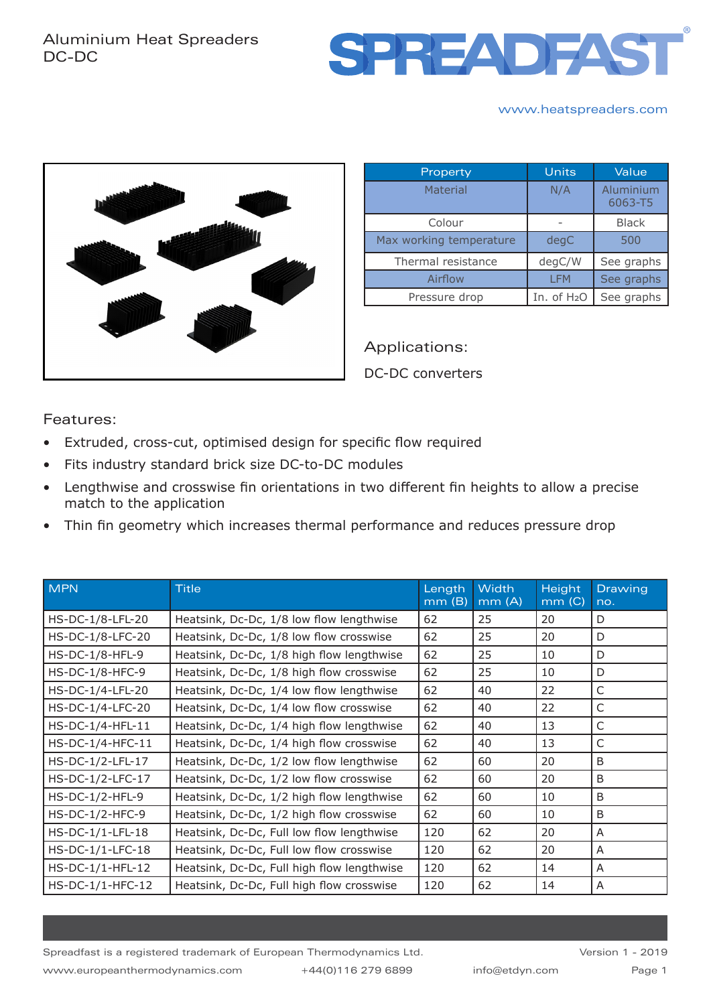

#### www.heatspreaders.com



| Property                | Units                   | Value                |  |
|-------------------------|-------------------------|----------------------|--|
| Material                | N/A                     | Aluminium<br>6063-T5 |  |
| Colour                  |                         | <b>Black</b>         |  |
| Max working temperature | degC                    | 500                  |  |
| Thermal resistance      | degC/W                  | See graphs           |  |
| Airflow                 | <b>LFM</b>              | See graphs           |  |
| Pressure drop           | In. of H <sub>2</sub> O | See graphs           |  |

Applications: DC-DC converters

Features:

- Extruded, cross-cut, optimised design for specific flow required
- Fits industry standard brick size DC-to-DC modules
- Lengthwise and crosswise fin orientations in two different fin heights to allow a precise match to the application
- Thin fin geometry which increases thermal performance and reduces pressure drop

| <b>MPN</b>         | <b>Title</b>                               | Length<br>mm(B) | <b>Width</b><br>mm(A) | Height<br>mm(G) | <b>Drawing</b><br>no. |
|--------------------|--------------------------------------------|-----------------|-----------------------|-----------------|-----------------------|
| HS-DC-1/8-LFL-20   | Heatsink, Dc-Dc, 1/8 low flow lengthwise   | 62              | 25                    | 20              | D                     |
| HS-DC-1/8-LFC-20   | Heatsink, Dc-Dc, 1/8 low flow crosswise    | 62              | 25                    | 20              | D                     |
| HS-DC-1/8-HFL-9    | Heatsink, Dc-Dc, 1/8 high flow lengthwise  | 62              | 25                    | 10              | D                     |
| HS-DC-1/8-HFC-9    | Heatsink, Dc-Dc, 1/8 high flow crosswise   | 62              | 25                    | 10              | D                     |
| HS-DC-1/4-LFL-20   | Heatsink, Dc-Dc, 1/4 low flow lengthwise   | 62              | 40                    | 22              | C                     |
| HS-DC-1/4-LFC-20   | Heatsink, Dc-Dc, 1/4 low flow crosswise    | 62              | 40                    | 22              | C                     |
| HS-DC-1/4-HFL-11   | Heatsink, Dc-Dc, 1/4 high flow lengthwise  | 62              | 40                    | 13              | $\mathsf{C}$          |
| HS-DC-1/4-HFC-11   | Heatsink, Dc-Dc, 1/4 high flow crosswise   | 62              | 40                    | 13              | C                     |
| HS-DC-1/2-LFL-17   | Heatsink, Dc-Dc, 1/2 low flow lengthwise   | 62              | 60                    | 20              | B                     |
| HS-DC-1/2-LFC-17   | Heatsink, Dc-Dc, 1/2 low flow crosswise    | 62              | 60                    | 20              | B                     |
| HS-DC-1/2-HFL-9    | Heatsink, Dc-Dc, 1/2 high flow lengthwise  | 62              | 60                    | 10              | B                     |
| HS-DC-1/2-HFC-9    | Heatsink, Dc-Dc, 1/2 high flow crosswise   | 62              | 60                    | 10              | B                     |
| HS-DC-1/1-LFL-18   | Heatsink, Dc-Dc, Full low flow lengthwise  | 120             | 62                    | 20              | A                     |
| HS-DC-1/1-LFC-18   | Heatsink, Dc-Dc, Full low flow crosswise   | 120             | 62                    | 20              | A                     |
| HS-DC-1/1-HFL-12   | Heatsink, Dc-Dc, Full high flow lengthwise | 120             | 62                    | 14              | A                     |
| $HS-DC-1/1-HFC-12$ | Heatsink, Dc-Dc, Full high flow crosswise  | 120             | 62                    | 14              | A                     |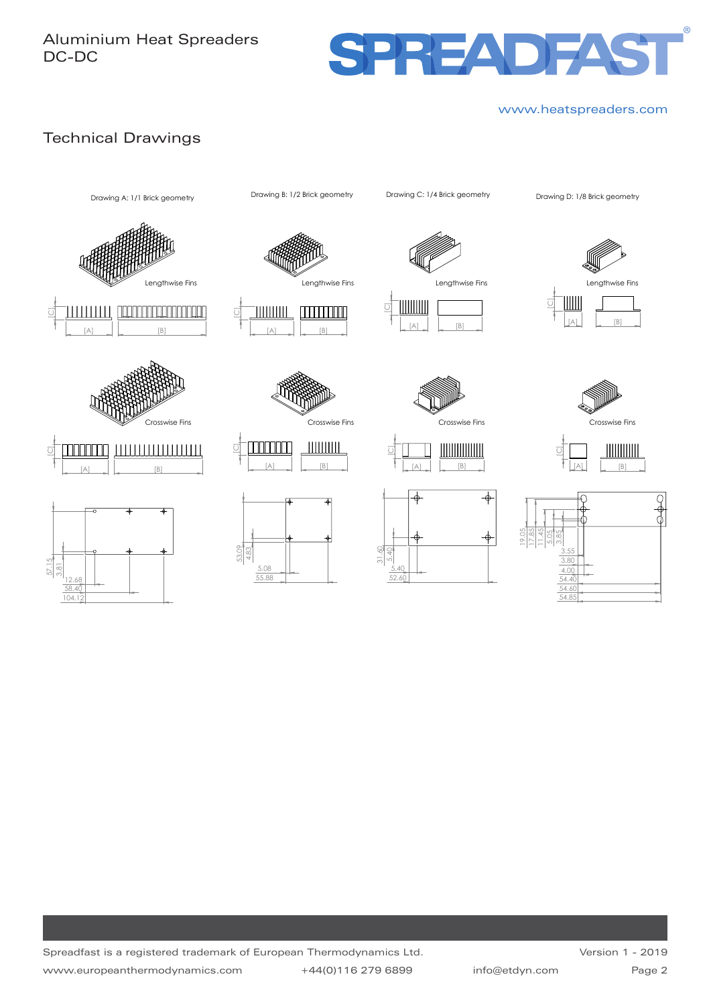# Aluminium Heat Spreaders DC-DC



### www.heatspreaders.com

# Technical Drawings























[A]

</u>

 $\lceil B \rceil$ 

 $\color{red} \phi$ 

</u>

HIIIIIIIIIIIIII

 $\overline{C}$ 

 5.40 31.60 5.40 52.60











Spreadfast is a registered trademark of European Thermodynamics Ltd. www.europeanthermodynamics.com +44(0)116 279 6899 info@etdyn.com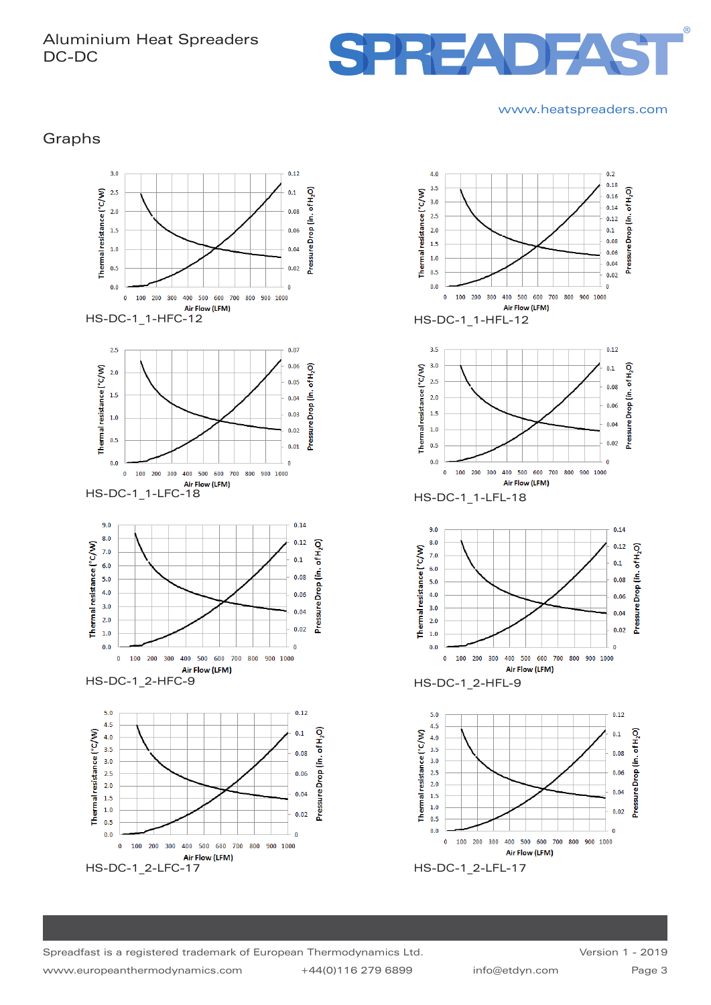## Aluminium Heat Spreaders DC-DC



#### www.heatspreaders.com

Graphs





HS-DC-1\_1-LFC-18



HS-DC-1\_2-HFC-9 HS-DC-1\_2-HFL-9







HS-DC-1\_1-LFL-18





Spreadfast is a registered trademark of European Thermodynamics Ltd. www.europeanthermodynamics.com +44(0)116 279 6899 info@etdyn.com